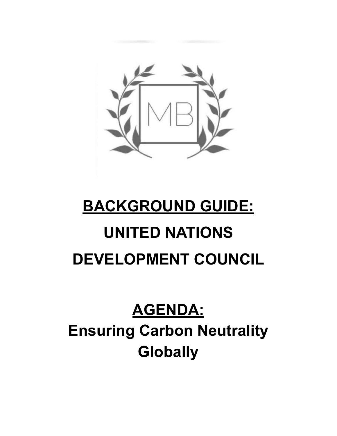

# **BACKGROUND GUIDE: UNITED NATIONS DEVELOPMENT COUNCIL**

# **AGENDA: Ensuring Carbon Neutrality Globally**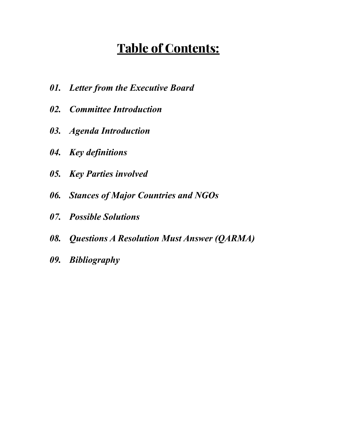# **Table of Contents:**

- *01. Letter from the Executive Board*
- *02. Committee Introduction*
- *03. Agenda Introduction*
- *04. Key definitions*
- *05. Key Parties involved*
- *06. Stances of Major Countries and NGOs*
- *07. Possible Solutions*
- *08. Questions A Resolution Must Answer (QARMA)*
- *09. Bibliography*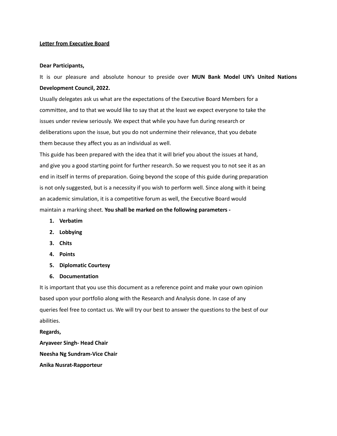#### **Letter from Executive Board**

#### **Dear Participants,**

It is our pleasure and absolute honour to preside over **MUN Bank Model UN's United Nations Development Council, 2022.**

Usually delegates ask us what are the expectations of the Executive Board Members for a committee, and to that we would like to say that at the least we expect everyone to take the issues under review seriously. We expect that while you have fun during research or deliberations upon the issue, but you do not undermine their relevance, that you debate them because they affect you as an individual as well.

This guide has been prepared with the idea that it will brief you about the issues at hand, and give you a good starting point for further research. So we request you to not see it as an end in itself in terms of preparation. Going beyond the scope of this guide during preparation is not only suggested, but is a necessity if you wish to perform well. Since along with it being an academic simulation, it is a competitive forum as well, the Executive Board would maintain a marking sheet. **You shall be marked on the following parameters -**

- **1. Verbatim**
- **2. Lobbying**
- **3. Chits**
- **4. Points**
- **5. Diplomatic Courtesy**
- **6. Documentation**

It is important that you use this document as a reference point and make your own opinion based upon your portfolio along with the Research and Analysis done. In case of any queries feel free to contact us. We will try our best to answer the questions to the best of our abilities.

**Regards, Aryaveer Singh- Head Chair Neesha Ng Sundram-Vice Chair Anika Nusrat-Rapporteur**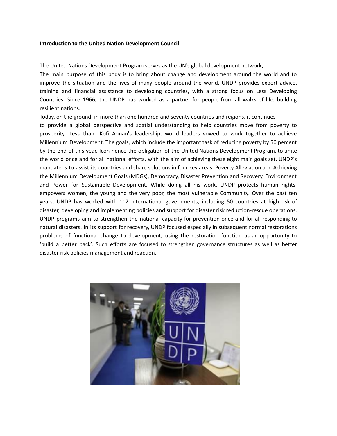#### **Introduction to the United Nation Development Council:**

The United Nations Development Program serves as the UN's global development network,

The main purpose of this body is to bring about change and development around the world and to improve the situation and the lives of many people around the world. UNDP provides expert advice, training and financial assistance to developing countries, with a strong focus on Less Developing Countries. Since 1966, the UNDP has worked as a partner for people from all walks of life, building resilient nations.

Today, on the ground, in more than one hundred and seventy countries and regions, it continues

to provide a global perspective and spatial understanding to help countries move from poverty to prosperity. Less than- Kofi Annan's leadership, world leaders vowed to work together to achieve Millennium Development. The goals, which include the important task of reducing poverty by 50 percent by the end of this year. Icon hence the obligation of the United Nations Development Program, to unite the world once and for all national efforts, with the aim of achieving these eight main goals set. UNDP's mandate is to assist its countries and share solutions in four key areas: Poverty Alleviation and Achieving the Millennium Development Goals (MDGs), Democracy, Disaster Prevention and Recovery, Environment and Power for Sustainable Development. While doing all his work, UNDP protects human rights, empowers women, the young and the very poor, the most vulnerable Community. Over the past ten years, UNDP has worked with 112 international governments, including 50 countries at high risk of disaster, developing and implementing policies and support for disaster risk reduction-rescue operations. UNDP programs aim to strengthen the national capacity for prevention once and for all responding to natural disasters. In its support for recovery, UNDP focused especially in subsequent normal restorations problems of functional change to development, using the restoration function as an opportunity to 'build a better back'. Such efforts are focused to strengthen governance structures as well as better disaster risk policies management and reaction.

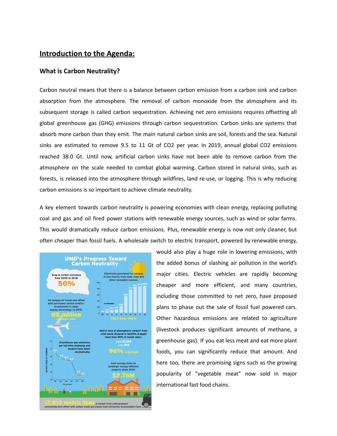# **Introduction to the Agenda:**

#### **What is Carbon Neutrality?**

Carbon neutral means that there is a balance between carbon emission from a carbon sink and carbon absorption from the atmosphere. The removal of carbon monoxide from the atmosphere and its subsequent storage is called carbon sequestration. Achieving net zero emissions requires offsetting all global greenhouse gas (GHG) emissions through carbon sequestration. Carbon sinks are systems that absorb more carbon than they emit. The main natural carbon sinks are soil, forests and the sea. Natural sinks are estimated to remove 9.5 to 11 Gt of CO2 per year. In 2019, annual global CO2 emissions reached 38.0 Gt. Until now, artificial carbon sinks have not been able to remove carbon from the atmosphere on the scale needed to combat global warming. Carbon stored in natural sinks, such as forests, is released into the atmosphere through wildfires, land re-use, or logging. This is why reducing carbon emissions is so important to achieve climate neutrality.

A key element towards carbon neutrality is powering economies with clean energy, replacing polluting coal and gas and oil fired power stations with renewable energy sources, such as wind or solar farms. This would dramatically reduce carbon emissions. Plus, renewable energy is now not only cleaner, but often cheaper than fossil fuels. A wholesale switch to electric transport, powered by renewable energy,



would also play a huge role in lowering emissions, with the added bonus of slashing air pollution in the world's major cities. Electric vehicles are rapidly becoming cheaper and more efficient, and many countries, including those committed to net zero, have proposed plans to phase out the sale of fossil fuel powered cars. Other hazardous emissions are related to agriculture (livestock produces significant amounts of methane, a greenhouse gas). If you eat less meat and eat more plant foods, you can significantly reduce that amount. And here too, there are promising signs such as the growing popularity of "vegetable meat" now sold in major international fast food chains.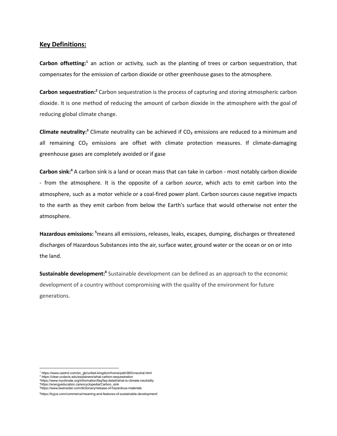#### **Key Definitions:**

**Carbon offsetting: <sup>1</sup>** an action or activity, such as the planting of trees or carbon sequestration, that compensates for the emission of carbon dioxide or other greenhouse gases to the atmosphere.

Carbon sequestration:<sup>2</sup> Carbon sequestration is the process of capturing and storing atmospheric carbon dioxide. It is one method of reducing the amount of carbon dioxide in the atmosphere with the goal of reducing global climate change.

**Climate neutrality: <sup>3</sup>** Climate neutrality can be achieved if CO₂ emissions are reduced to a minimum and all remaining CO<sub>2</sub> emissions are offset with climate protection measures. If climate-damaging greenhouse gases are completely avoided or if gase

Carbon sink:<sup>4</sup> A carbon sink is a land or ocean mass that can take in carbon - most notably carbon dioxide - from the atmosphere. It is the opposite of a carbon *source*, which acts to emit carbon into the atmosphere, such as a motor vehicle or a coal-fired power plant. Carbon sources cause negative impacts to the earth as they emit carbon from below the Earth's surface that would otherwise not enter the atmosphere.

Hazardous emissions: <sup>5</sup>[means](https://www.lawinsider.com/dictionary/hazardous-emissions) all emissions, releases, leaks, escapes, dumping, discharges or threatened discharges of Hazardous Substances into the air, surface water, ground water or the ocean or on or into the land.

**Sustainable development:**<sup>6</sup> Sustainable development can be defined as an approach to the economic development of a country without compromising with the quality of the environment for future generations.

<sup>4</sup>https://energyeducation.ca/encyclopedia/Carbon\_sink<br><sup>5</sup>https://www.lawinsider.com/dictionary/release-of-hazardous-materials

<sup>3</sup>https://www.myclimate.org/information/faq/faq-detail/what-is-climate-neutrality 1 https://www.castrol.com/en\_gb/united-kingdom/home/path360/cneutral.html<br><sup>2</sup> https://clear.ucdavis.edu/explainers/what-carbon-sequestration

<sup>6</sup>https://byjus.com/commerce/meaning-and-features-of-sustainable-development/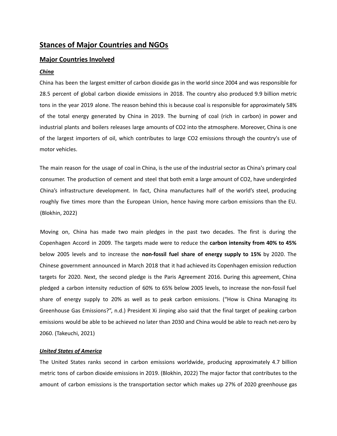# **Stances of Major Countries and NGOs**

#### **Major Countries Involved**

#### *China*

China has been the largest emitter of carbon dioxide gas in the world since 2004 and was responsible for 28.5 percent of global carbon dioxide emissions in 2018. The country also produced 9.9 billion metric tons in the year 2019 alone. The reason behind this is because coal is responsible for approximately 58% of the total energy generated by China in 2019. The burning of coal (rich in carbon) in power and industrial plants and boilers releases large amounts of CO2 into the atmosphere. Moreover, China is one of the largest importers of oil, which contributes to large CO2 emissions through the country's use of motor vehicles.

The main reason for the usage of coal in China, is the use of the industrial sector as China's primary coal consumer. The production of cement and steel that both emit a large amount of CO2, have undergirded China's infrastructure development. In fact, China manufactures half of the world's steel, producing roughly five times more than the European Union, hence having more carbon emissions than the EU. (Blokhin, 2022)

Moving on, China has made two main pledges in the past two decades. The first is during the Copenhagen Accord in 2009. The targets made were to reduce the **carbon intensity from 40% to 45%** below 2005 levels and to increase the **non-fossil fuel share of energy supply to 15%** by 2020. The Chinese government announced in March 2018 that it had achieved its Copenhagen emission reduction targets for 2020. Next, the second pledge is the Paris Agreement 2016. During this agreement, China pledged a carbon intensity reduction of 60% to 65% below 2005 levels, to increase the non-fossil fuel share of energy supply to 20% as well as to peak carbon emissions. ("How is China Managing its Greenhouse Gas Emissions?", n.d.) President Xi Jinping also said that the final target of peaking carbon emissions would be able to be achieved no later than 2030 and China would be able to reach net-zero by 2060. (Takeuchi, 2021)

#### *United States of America*

The United States ranks second in carbon emissions worldwide, producing approximately 4.7 billion metric tons of carbon dioxide emissions in 2019. (Blokhin, 2022) The major factor that contributes to the amount of carbon emissions is the transportation sector which makes up 27% of 2020 greenhouse gas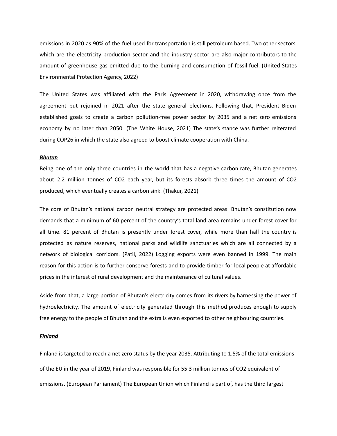emissions in 2020 as 90% of the fuel used for transportation is still petroleum based. Two other sectors, which are the electricity production sector and the industry sector are also major contributors to the amount of greenhouse gas emitted due to the burning and consumption of fossil fuel. (United States Environmental Protection Agency, 2022)

The United States was affiliated with the Paris Agreement in 2020, withdrawing once from the agreement but rejoined in 2021 after the state general elections. Following that, President Biden established goals to create a carbon pollution-free power sector by 2035 and a net zero emissions economy by no later than 2050. (The White House, 2021) The state's stance was further reiterated during COP26 in which the state also agreed to boost climate cooperation with China.

#### *Bhutan*

Being one of the only three countries in the world that has a negative carbon rate, Bhutan generates about 2.2 million tonnes of CO2 each year, but its forests absorb three times the amount of CO2 produced, which eventually creates a carbon sink. (Thakur, 2021)

The core of Bhutan's national carbon neutral strategy are protected areas. Bhutan's constitution now demands that a minimum of 60 percent of the country's total land area remains under forest cover for all time. 81 percent of Bhutan is presently under forest cover, while more than half the country is protected as nature reserves, national parks and wildlife sanctuaries which are all connected by a network of biological corridors. (Patil, 2022) Logging exports were even banned in 1999. The main reason for this action is to further conserve forests and to provide timber for local people at affordable prices in the interest of rural development and the maintenance of cultural values.

Aside from that, a large portion of Bhutan's electricity comes from its rivers by harnessing the power of hydroelectricity. The amount of electricity generated through this method produces enough to supply free energy to the people of Bhutan and the extra is even exported to other neighbouring countries.

#### *Finland*

Finland is targeted to reach a net zero status by the year 2035. Attributing to 1.5% of the total emissions of the EU in the year of 2019, Finland was responsible for 55.3 million tonnes of CO2 equivalent of emissions. (European Parliament) The European Union which Finland is part of, has the third largest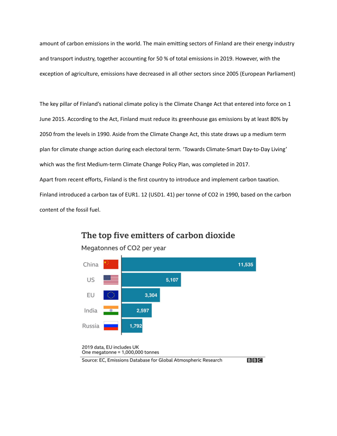amount of carbon emissions in the world. The main emitting sectors of Finland are their energy industry and transport industry, together accounting for 50 % of total emissions in 2019. However, with the exception of agriculture, emissions have decreased in all other sectors since 2005 (European Parliament)

The key pillar of Finland's national climate policy is the Climate Change Act that entered into force on 1 June 2015. According to the Act, Finland must reduce its greenhouse gas emissions by at least 80% by 2050 from the levels in 1990. Aside from the Climate Change Act, this state draws up a medium term plan for climate change action during each electoral term. 'Towards Climate-Smart Day-to-Day Living' which was the first Medium-term Climate Change Policy Plan, was completed in 2017. Apart from recent efforts, Finland is the first country to introduce and implement carbon taxation. Finland introduced a carbon tax of EUR1. 12 (USD1. 41) per tonne of CO2 in 1990, based on the carbon content of the fossil fuel.



# The top five emitters of carbon dioxide

Megatonnes of CO2 per year

 $B$  $B$  $C$ 

Source: EC, Emissions Database for Global Atmospheric Research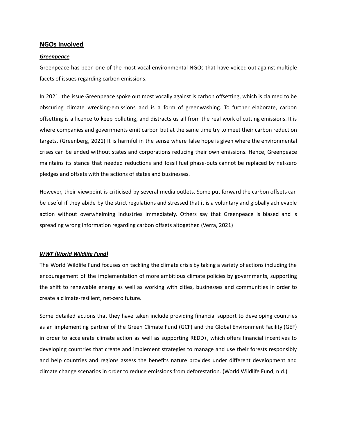#### **NGOs Involved**

#### *Greenpeace*

Greenpeace has been one of the most vocal environmental NGOs that have voiced out against multiple facets of issues regarding carbon emissions.

In 2021, the issue Greenpeace spoke out most vocally against is carbon offsetting, which is claimed to be obscuring climate wrecking-emissions and is a form of greenwashing. To further elaborate, carbon offsetting is a licence to keep polluting, and distracts us all from the real work of cutting emissions. It is where companies and governments emit carbon but at the same time try to meet their carbon reduction targets. (Greenberg, 2021) It is harmful in the sense where false hope is given where the environmental crises can be ended without states and corporations reducing their own emissions. Hence, Greenpeace maintains its stance that needed reductions and fossil fuel phase-outs cannot be replaced by net-zero pledges and offsets with the actions of states and businesses.

However, their viewpoint is criticised by several media outlets. Some put forward the carbon offsets can be useful if they abide by the strict regulations and stressed that it is a voluntary and globally achievable action without overwhelming industries immediately. Others say that Greenpeace is biased and is spreading wrong information regarding carbon offsets altogether. (Verra, 2021)

#### *WWF (World Wildlife Fund)*

The World Wildlife Fund focuses on tackling the climate crisis by taking a variety of actions including the encouragement of the implementation of more ambitious climate policies by governments, supporting the shift to renewable energy as well as working with cities, businesses and communities in order to create a climate-resilient, net-zero future.

Some detailed actions that they have taken include providing financial support to developing countries as an implementing partner of the Green Climate Fund (GCF) and the Global Environment Facility (GEF) in order to accelerate climate action as well as supporting REDD+, which offers financial incentives to developing countries that create and implement strategies to manage and use their forests responsibly and help countries and regions assess the benefits nature provides under different development and climate change scenarios in order to reduce emissions from deforestation. (World Wildlife Fund, n.d.)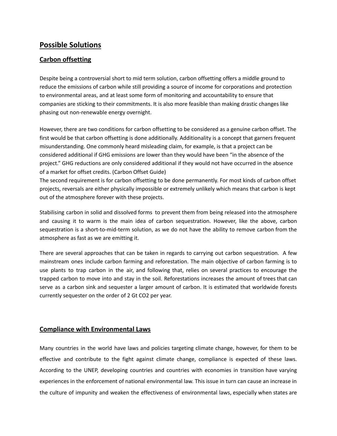# **Possible Solutions**

## **Carbon offsetting**

Despite being a controversial short to mid term solution, carbon offsetting offers a middle ground to reduce the emissions of carbon while still providing a source of income for corporations and protection to environmental areas, and at least some form of monitoring and accountability to ensure that companies are sticking to their commitments. It is also more feasible than making drastic changes like phasing out non-renewable energy overnight.

However, there are two conditions for carbon offsetting to be considered as a genuine carbon offset. The first would be that carbon offsetting is done additionally. Additionality is a concept that garners frequent misunderstanding. One commonly heard misleading claim, for example, is that a project can be considered additional if GHG emissions are lower than they would have been "in the absence of the project." GHG reductions are only considered additional if they would not have occurred in the absence of a market for offset credits. (Carbon Offset Guide)

The second requirement is for carbon offsetting to be done permanently. For most kinds of carbon offset projects, reversals are either physically impossible or extremely unlikely which means that carbon is kept out of the atmosphere forever with these projects.

Stabilising carbon in solid and dissolved forms to prevent them from being released into the atmosphere and causing it to warm is the main idea of carbon sequestration. However, like the above, carbon sequestration is a short-to-mid-term solution, as we do not have the ability to remove carbon from the atmosphere as fast as we are emitting it.

There are several approaches that can be taken in regards to carrying out carbon sequestration. A few mainstream ones include carbon farming and reforestation. The main objective of carbon farming is to use plants to trap carbon in the air, and following that, relies on several practices to encourage the trapped carbon to move into and stay in the soil. Reforestations increases the amount of trees that can serve as a carbon sink and sequester a larger amount of carbon. It is estimated that worldwide forests currently sequester on the order of 2 Gt CO2 per year.

## **Compliance with Environmental Laws**

Many countries in the world have laws and policies targeting climate change, however, for them to be effective and contribute to the fight against climate change, compliance is expected of these laws. According to the UNEP, developing countries and countries with economies in transition have varying experiences in the enforcement of national environmental law. This issue in turn can cause an increase in the culture of impunity and weaken the effectiveness of environmental laws, especially when states are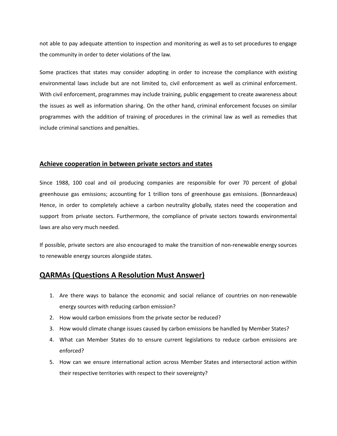not able to pay adequate attention to inspection and monitoring as well as to set procedures to engage the community in order to deter violations of the law.

Some practices that states may consider adopting in order to increase the compliance with existing environmental laws include but are not limited to, civil enforcement as well as criminal enforcement. With civil enforcement, programmes may include training, public engagement to create awareness about the issues as well as information sharing. On the other hand, criminal enforcement focuses on similar programmes with the addition of training of procedures in the criminal law as well as remedies that include criminal sanctions and penalties.

#### **Achieve cooperation in between private sectors and states**

Since 1988, 100 coal and oil producing companies are responsible for over 70 percent of global greenhouse gas emissions; accounting for 1 trillion tons of greenhouse gas emissions. (Bonnardeaux) Hence, in order to completely achieve a carbon neutrality globally, states need the cooperation and support from private sectors. Furthermore, the compliance of private sectors towards environmental laws are also very much needed.

If possible, private sectors are also encouraged to make the transition of non-renewable energy sources to renewable energy sources alongside states.

## **QARMAs (Questions A Resolution Must Answer)**

- 1. Are there ways to balance the economic and social reliance of countries on non-renewable energy sources with reducing carbon emission?
- 2. How would carbon emissions from the private sector be reduced?
- 3. How would climate change issues caused by carbon emissions be handled by Member States?
- 4. What can Member States do to ensure current legislations to reduce carbon emissions are enforced?
- 5. How can we ensure international action across Member States and intersectoral action within their respective territories with respect to their sovereignty?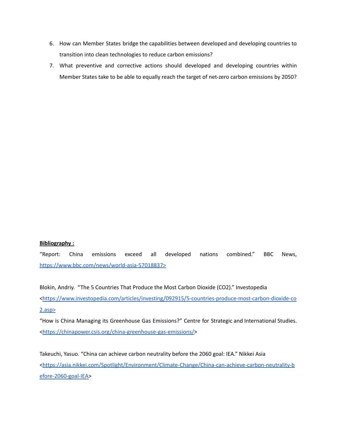- 6. How can Member States bridge the capabilities between developed and developing countries to transition into clean technologies to reduce carbon emissions?
- 7. What preventive and corrective actions should developed and developing countries within Member States take to be able to equally reach the target of net-zero carbon emissions by 2050?

#### **Bibliography :**

"Report: China emissions exceed all developed nations combined." BBC News, <https://www.bbc.com/news/world-asia-57018837>>

Blokin, Andriy. "The 5 Countries That Produce the Most Carbon Dioxide (CO2)." Investopedia [<https://www.investopedia.com/articles/investing/092915/5-countries-produce-most-carbon-dioxide-co](https://www.investopedia.com/articles/investing/092915/5-countries-produce-most-carbon-dioxide-co2.asp) [2.asp>](https://www.investopedia.com/articles/investing/092915/5-countries-produce-most-carbon-dioxide-co2.asp)

"How is China Managing its Greenhouse Gas Emissions?" Centre for Strategic and International Studies. [<https://chinapower.csis.org/china-greenhouse-gas-emissions/>](https://chinapower.csis.org/china-greenhouse-gas-emissions/)

Takeuchi, Yasuo. "China can achieve carbon neutrality before the 2060 goal: IEA." Nikkei Asia [<https://asia.nikkei.com/Spotlight/Environment/Climate-Change/China-can-achieve-carbon-neutrality-b](https://asia.nikkei.com/Spotlight/Environment/Climate-Change/China-can-achieve-carbon-neutrality-before-2060-goal-IEA) [efore-2060-goal-IEA>](https://asia.nikkei.com/Spotlight/Environment/Climate-Change/China-can-achieve-carbon-neutrality-before-2060-goal-IEA)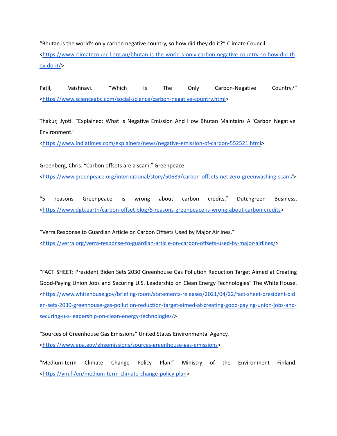"Bhutan is the world's only carbon negative country, so how did they do it?" Climate Council.

[<https://www.climatecouncil.org.au/bhutan-is-the-world-s-only-carbon-negative-country-so-how-did-th](https://www.climatecouncil.org.au/bhutan-is-the-world-s-only-carbon-negative-country-so-how-did-they-do-it/) [ey-do-it/>](https://www.climatecouncil.org.au/bhutan-is-the-world-s-only-carbon-negative-country-so-how-did-they-do-it/)

Patil, Vaishnavi. "Which Is The Only Carbon-Negative Country?" [<https://www.scienceabc.com/social-science/carbon-negative-country.html>](https://www.scienceabc.com/social-science/carbon-negative-country.html)

Thakur, Jyoti. "Explained: What Is Negative Emission And How Bhutan Maintains A 'Carbon Negative' Environment."

[<https://www.indiatimes.com/explainers/news/negative-emission-of-carbon-552521.html>](https://www.indiatimes.com/explainers/news/negative-emission-of-carbon-552521.html)

Greenberg, Chris. "Carbon offsets are a scam." Greenpeace [<https://www.greenpeace.org/international/story/50689/carbon-offsets-net-zero-greenwashing-scam/>](https://www.greenpeace.org/international/story/50689/carbon-offsets-net-zero-greenwashing-scam/)

"5 reasons Greenpeace is wrong about carbon credits." Dutchgreen Business. [<https://www.dgb.earth/carbon-offset-blog/5-reasons-greenpeace-is-wrong-about-carbon-credits](https://www.dgb.earth/carbon-offset-blog/5-reasons-greenpeace-is-wrong-about-carbon-credits)>

"Verra Response to Guardian Article on Carbon Offsets Used by Major Airlines." [<https://verra.org/verra-response-to-guardian-article-on-carbon-offsets-used-by-major-airlines/>](https://verra.org/verra-response-to-guardian-article-on-carbon-offsets-used-by-major-airlines/)

"FACT SHEET: President Biden Sets 2030 Greenhouse Gas Pollution Reduction Target Aimed at Creating Good-Paying Union Jobs and Securing U.S. Leadership on Clean Energy Technologies" The White House. [<https://www.whitehouse.gov/briefing-room/statements-releases/2021/04/22/fact-sheet-president-bid](https://www.whitehouse.gov/briefing-room/statements-releases/2021/04/22/fact-sheet-president-biden-sets-2030-greenhouse-gas-pollution-reduction-target-aimed-at-creating-good-paying-union-jobs-and-securing-u-s-leadership-on-clean-energy-technologies/) [en-sets-2030-greenhouse-gas-pollution-reduction-target-aimed-at-creating-good-paying-union-jobs-and](https://www.whitehouse.gov/briefing-room/statements-releases/2021/04/22/fact-sheet-president-biden-sets-2030-greenhouse-gas-pollution-reduction-target-aimed-at-creating-good-paying-union-jobs-and-securing-u-s-leadership-on-clean-energy-technologies/)[securing-u-s-leadership-on-clean-energy-technologies/](https://www.whitehouse.gov/briefing-room/statements-releases/2021/04/22/fact-sheet-president-biden-sets-2030-greenhouse-gas-pollution-reduction-target-aimed-at-creating-good-paying-union-jobs-and-securing-u-s-leadership-on-clean-energy-technologies/)>

"Sources of Greenhouse Gas Emissions" United States Environmental Agency. [<https://www.epa.gov/ghgemissions/sources-greenhouse-gas-emissions>](https://www.epa.gov/ghgemissions/sources-greenhouse-gas-emissions)

"Medium-term Climate Change Policy Plan." Ministry of the Environment Finland. [<https://ym.fi/en/medium-term-climate-change-policy-plan](https://ym.fi/en/medium-term-climate-change-policy-plan)>